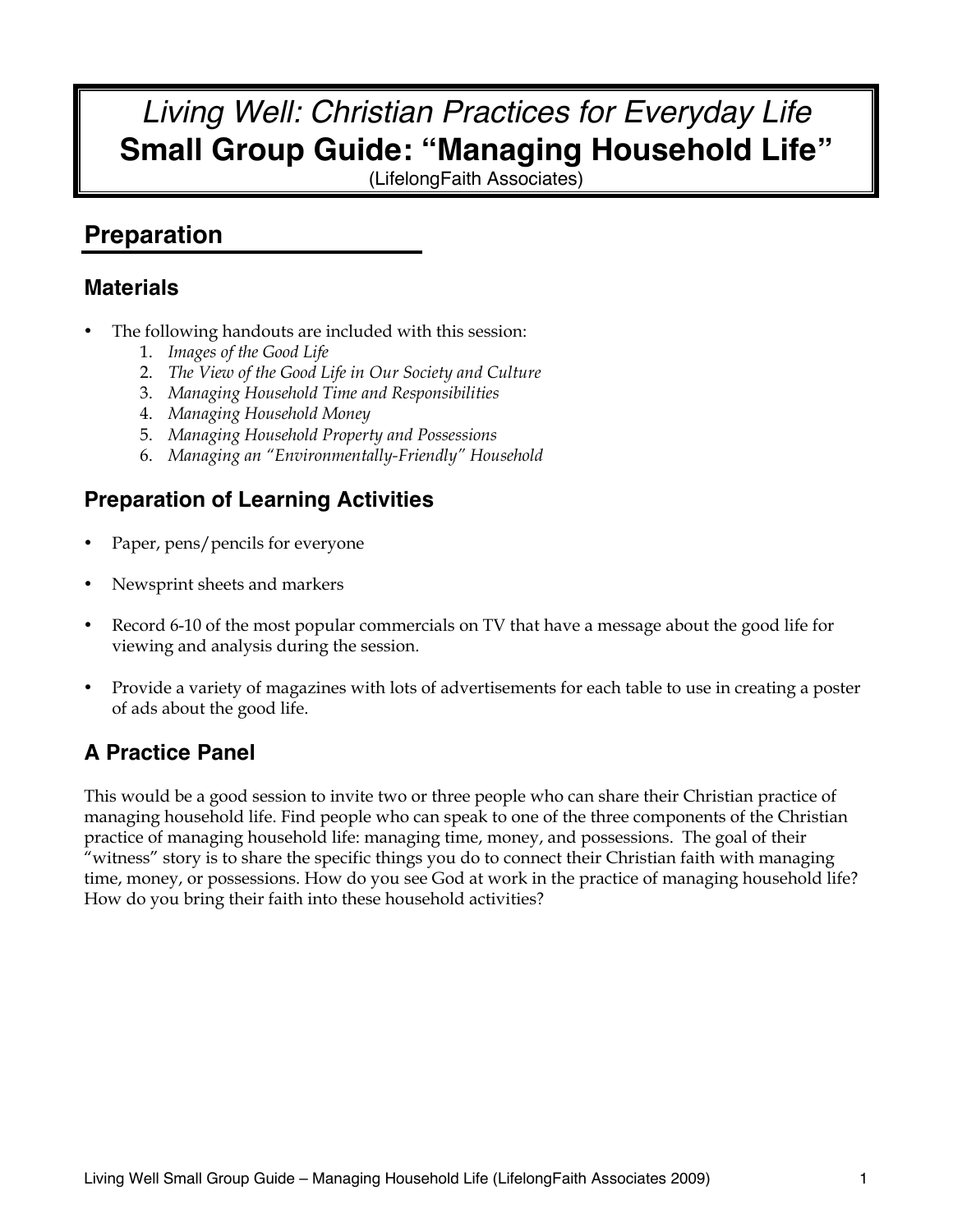# *Living Well: Christian Practices for Everyday Life* **Small Group Guide: "Managing Household Life"**

(LifelongFaith Associates)

# **Preparation**

## **Materials**

- The following handouts are included with this session:
	- 1. *Images of the Good Life*
	- 2. *The View of the Good Life in Our Society and Culture*
	- 3. *Managing Household Time and Responsibilities*
	- 4. *Managing Household Money*
	- 5. *Managing Household Property and Possessions*
	- 6. *Managing an "Environmentally-Friendly" Household*

# **Preparation of Learning Activities**

- Paper, pens/pencils for everyone
- Newsprint sheets and markers
- Record 6-10 of the most popular commercials on TV that have a message about the good life for viewing and analysis during the session.
- Provide a variety of magazines with lots of advertisements for each table to use in creating a poster of ads about the good life.

## **A Practice Panel**

This would be a good session to invite two or three people who can share their Christian practice of managing household life. Find people who can speak to one of the three components of the Christian practice of managing household life: managing time, money, and possessions. The goal of their "witness" story is to share the specific things you do to connect their Christian faith with managing time, money, or possessions. How do you see God at work in the practice of managing household life? How do you bring their faith into these household activities?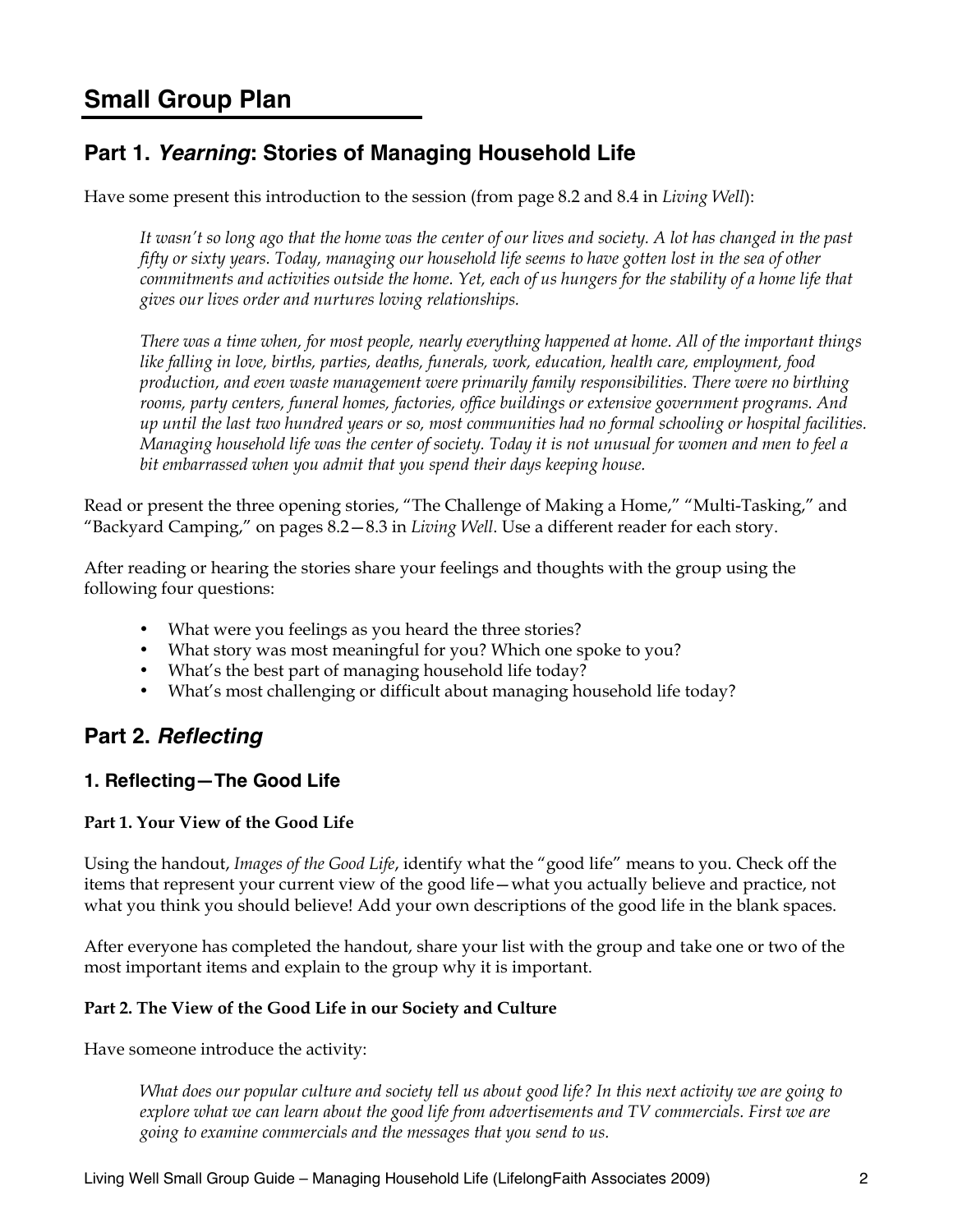# **Small Group Plan**

## **Part 1.** *Yearning***: Stories of Managing Household Life**

Have some present this introduction to the session (from page 8.2 and 8.4 in *Living Well*):

*It wasn't so long ago that the home was the center of our lives and society. A lot has changed in the past fifty or sixty years. Today, managing our household life seems to have gotten lost in the sea of other commitments and activities outside the home. Yet, each of us hungers for the stability of a home life that gives our lives order and nurtures loving relationships.*

*There was a time when, for most people, nearly everything happened at home. All of the important things like falling in love, births, parties, deaths, funerals, work, education, health care, employment, food production, and even waste management were primarily family responsibilities. There were no birthing rooms, party centers, funeral homes, factories, office buildings or extensive government programs. And up until the last two hundred years or so, most communities had no formal schooling or hospital facilities. Managing household life was the center of society. Today it is not unusual for women and men to feel a bit embarrassed when you admit that you spend their days keeping house.*

Read or present the three opening stories, "The Challenge of Making a Home," "Multi-Tasking," and "Backyard Camping," on pages 8.2—8.3 in *Living Well*. Use a different reader for each story.

After reading or hearing the stories share your feelings and thoughts with the group using the following four questions:

- What were you feelings as you heard the three stories?
- What story was most meaningful for you? Which one spoke to you?
- What's the best part of managing household life today?
- What's most challenging or difficult about managing household life today?

## **Part 2.** *Reflecting*

### **1. Reflecting—The Good Life**

#### **Part 1. Your View of the Good Life**

Using the handout, *Images of the Good Life*, identify what the "good life" means to you. Check off the items that represent your current view of the good life—what you actually believe and practice, not what you think you should believe! Add your own descriptions of the good life in the blank spaces.

After everyone has completed the handout, share your list with the group and take one or two of the most important items and explain to the group why it is important.

#### **Part 2. The View of the Good Life in our Society and Culture**

Have someone introduce the activity:

*What does our popular culture and society tell us about good life? In this next activity we are going to explore what we can learn about the good life from advertisements and TV commercials. First we are going to examine commercials and the messages that you send to us.*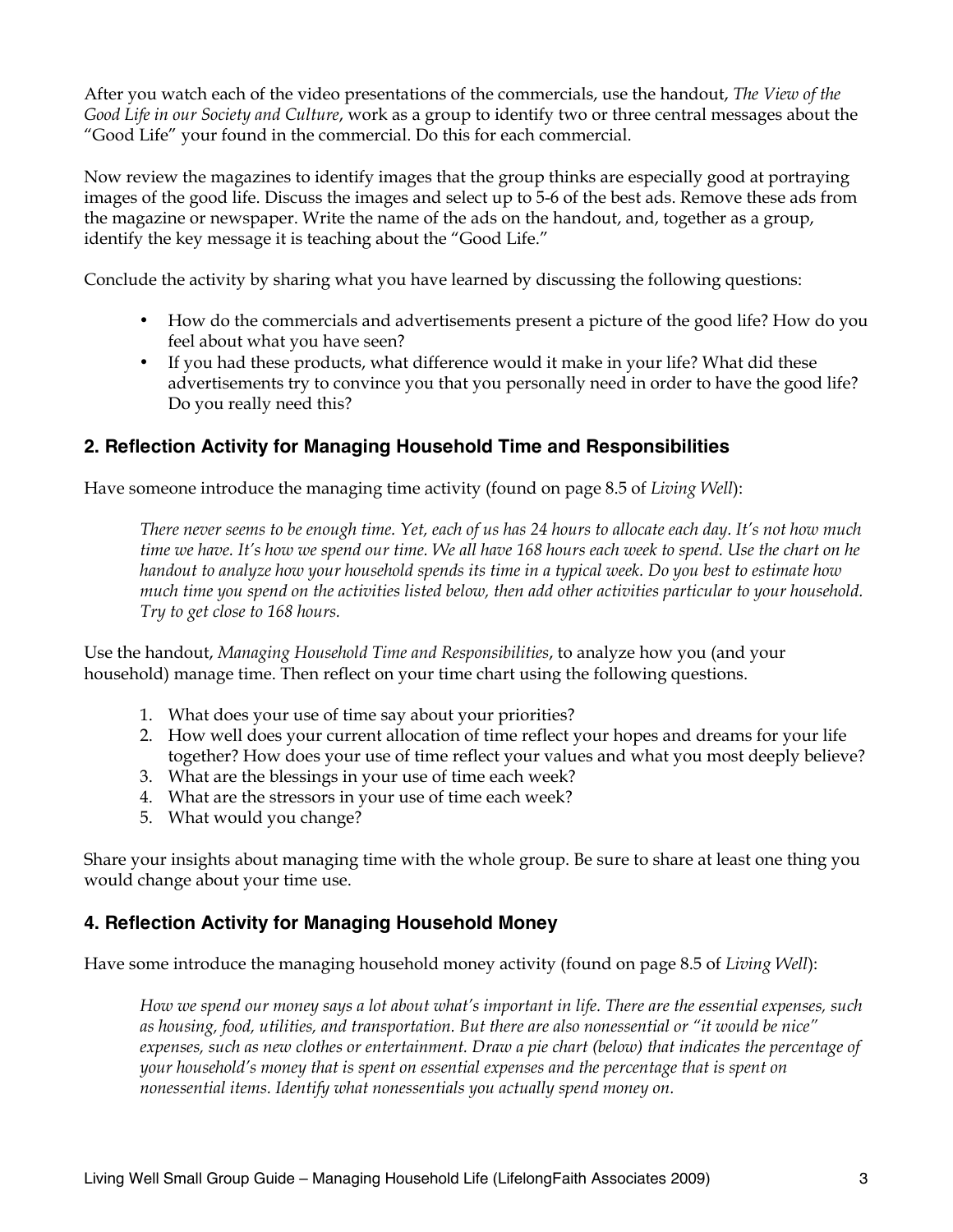After you watch each of the video presentations of the commercials, use the handout, *The View of the Good Life in our Society and Culture*, work as a group to identify two or three central messages about the "Good Life" your found in the commercial. Do this for each commercial.

Now review the magazines to identify images that the group thinks are especially good at portraying images of the good life. Discuss the images and select up to 5-6 of the best ads. Remove these ads from the magazine or newspaper. Write the name of the ads on the handout, and, together as a group, identify the key message it is teaching about the "Good Life."

Conclude the activity by sharing what you have learned by discussing the following questions:

- How do the commercials and advertisements present a picture of the good life? How do you feel about what you have seen?
- If you had these products, what difference would it make in your life? What did these advertisements try to convince you that you personally need in order to have the good life? Do you really need this?

### **2. Reflection Activity for Managing Household Time and Responsibilities**

Have someone introduce the managing time activity (found on page 8.5 of *Living Well*):

*There never seems to be enough time. Yet, each of us has 24 hours to allocate each day. It's not how much time we have. It's how we spend our time. We all have 168 hours each week to spend. Use the chart on he handout to analyze how your household spends its time in a typical week. Do you best to estimate how much time you spend on the activities listed below, then add other activities particular to your household. Try to get close to 168 hours.* 

Use the handout, *Managing Household Time and Responsibilities*, to analyze how you (and your household) manage time. Then reflect on your time chart using the following questions.

- 1. What does your use of time say about your priorities?
- 2. How well does your current allocation of time reflect your hopes and dreams for your life together? How does your use of time reflect your values and what you most deeply believe?
- 3. What are the blessings in your use of time each week?
- 4. What are the stressors in your use of time each week?
- 5. What would you change?

Share your insights about managing time with the whole group. Be sure to share at least one thing you would change about your time use.

### **4. Reflection Activity for Managing Household Money**

Have some introduce the managing household money activity (found on page 8.5 of *Living Well*):

*How we spend our money says a lot about what's important in life. There are the essential expenses, such as housing, food, utilities, and transportation. But there are also nonessential or "it would be nice" expenses, such as new clothes or entertainment. Draw a pie chart (below) that indicates the percentage of your household's money that is spent on essential expenses and the percentage that is spent on nonessential items. Identify what nonessentials you actually spend money on.*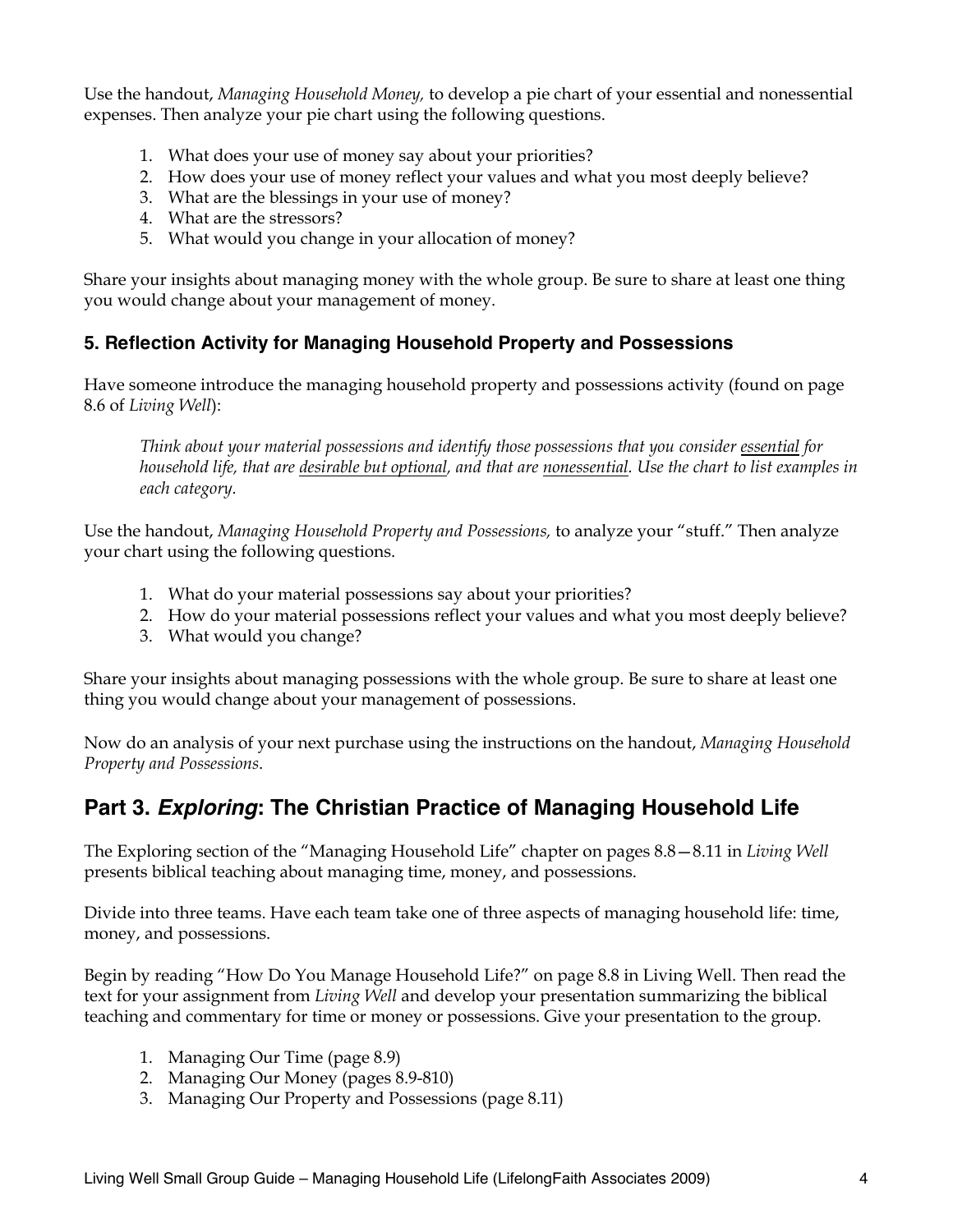Use the handout, *Managing Household Money,* to develop a pie chart of your essential and nonessential expenses. Then analyze your pie chart using the following questions.

- 1. What does your use of money say about your priorities?
- 2. How does your use of money reflect your values and what you most deeply believe?
- 3. What are the blessings in your use of money?
- 4. What are the stressors?
- 5. What would you change in your allocation of money?

Share your insights about managing money with the whole group. Be sure to share at least one thing you would change about your management of money.

### **5. Reflection Activity for Managing Household Property and Possessions**

Have someone introduce the managing household property and possessions activity (found on page 8.6 of *Living Well*):

*Think about your material possessions and identify those possessions that you consider essential for household life, that are desirable but optional, and that are nonessential. Use the chart to list examples in each category.* 

Use the handout, *Managing Household Property and Possessions,* to analyze your "stuff." Then analyze your chart using the following questions.

- 1. What do your material possessions say about your priorities?
- 2. How do your material possessions reflect your values and what you most deeply believe?
- 3. What would you change?

Share your insights about managing possessions with the whole group. Be sure to share at least one thing you would change about your management of possessions.

Now do an analysis of your next purchase using the instructions on the handout, *Managing Household Property and Possessions*.

## **Part 3.** *Exploring***: The Christian Practice of Managing Household Life**

The Exploring section of the "Managing Household Life" chapter on pages 8.8—8.11 in *Living Well* presents biblical teaching about managing time, money, and possessions.

Divide into three teams. Have each team take one of three aspects of managing household life: time, money, and possessions.

Begin by reading "How Do You Manage Household Life?" on page 8.8 in Living Well. Then read the text for your assignment from *Living Well* and develop your presentation summarizing the biblical teaching and commentary for time or money or possessions. Give your presentation to the group.

- 1. Managing Our Time (page 8.9)
- 2. Managing Our Money (pages 8.9-810)
- 3. Managing Our Property and Possessions (page 8.11)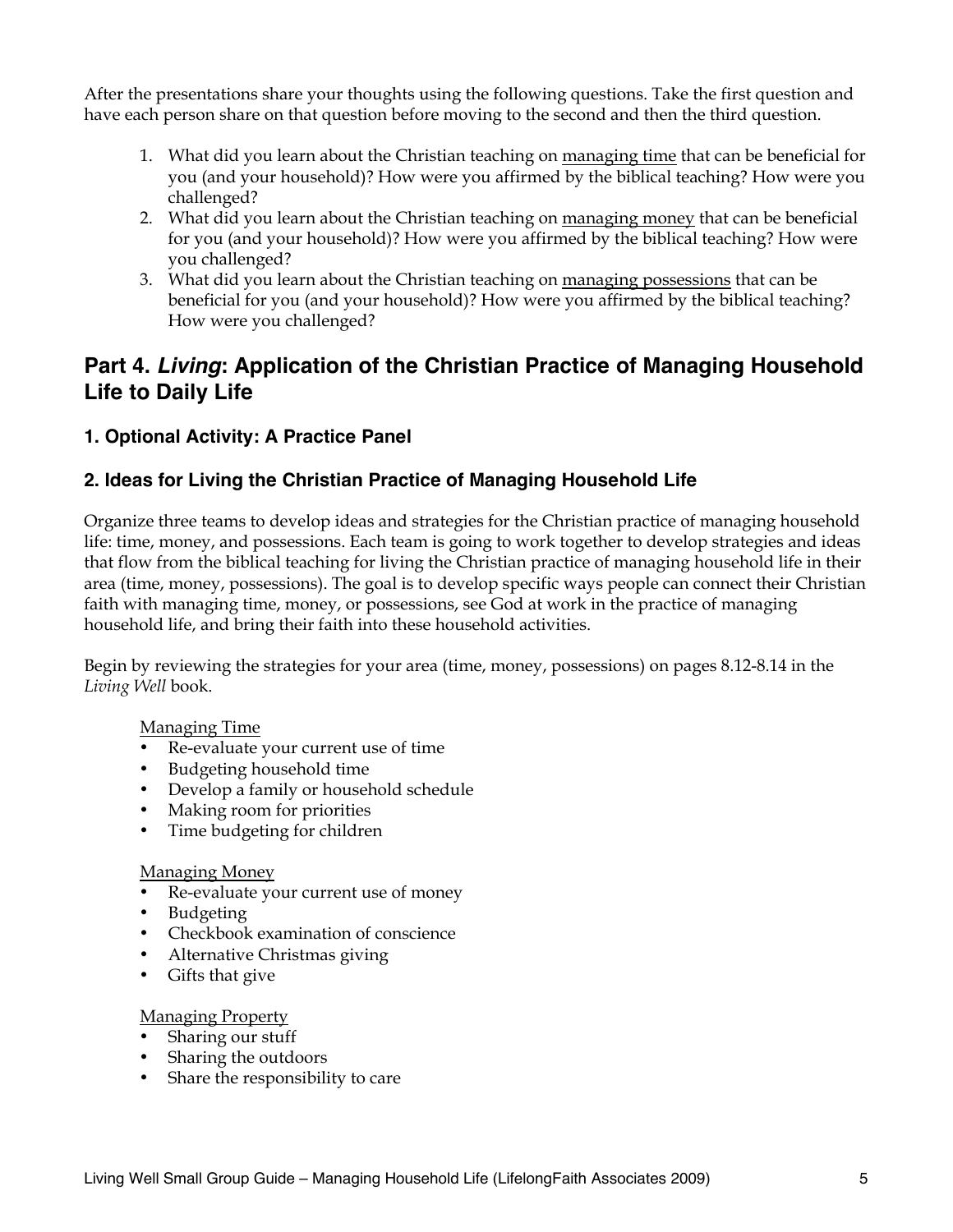After the presentations share your thoughts using the following questions. Take the first question and have each person share on that question before moving to the second and then the third question.

- 1. What did you learn about the Christian teaching on managing time that can be beneficial for you (and your household)? How were you affirmed by the biblical teaching? How were you challenged?
- 2. What did you learn about the Christian teaching on managing money that can be beneficial for you (and your household)? How were you affirmed by the biblical teaching? How were you challenged?
- 3. What did you learn about the Christian teaching on managing possessions that can be beneficial for you (and your household)? How were you affirmed by the biblical teaching? How were you challenged?

## **Part 4.** *Living***: Application of the Christian Practice of Managing Household Life to Daily Life**

### **1. Optional Activity: A Practice Panel**

## **2. Ideas for Living the Christian Practice of Managing Household Life**

Organize three teams to develop ideas and strategies for the Christian practice of managing household life: time, money, and possessions. Each team is going to work together to develop strategies and ideas that flow from the biblical teaching for living the Christian practice of managing household life in their area (time, money, possessions). The goal is to develop specific ways people can connect their Christian faith with managing time, money, or possessions, see God at work in the practice of managing household life, and bring their faith into these household activities.

Begin by reviewing the strategies for your area (time, money, possessions) on pages 8.12-8.14 in the *Living Well* book.

### Managing Time

- Re-evaluate your current use of time
- Budgeting household time
- Develop a family or household schedule
- Making room for priorities
- Time budgeting for children

#### Managing Money

- Re-evaluate your current use of money
- Budgeting
- Checkbook examination of conscience
- Alternative Christmas giving
- Gifts that give

#### Managing Property

- Sharing our stuff
- Sharing the outdoors
- Share the responsibility to care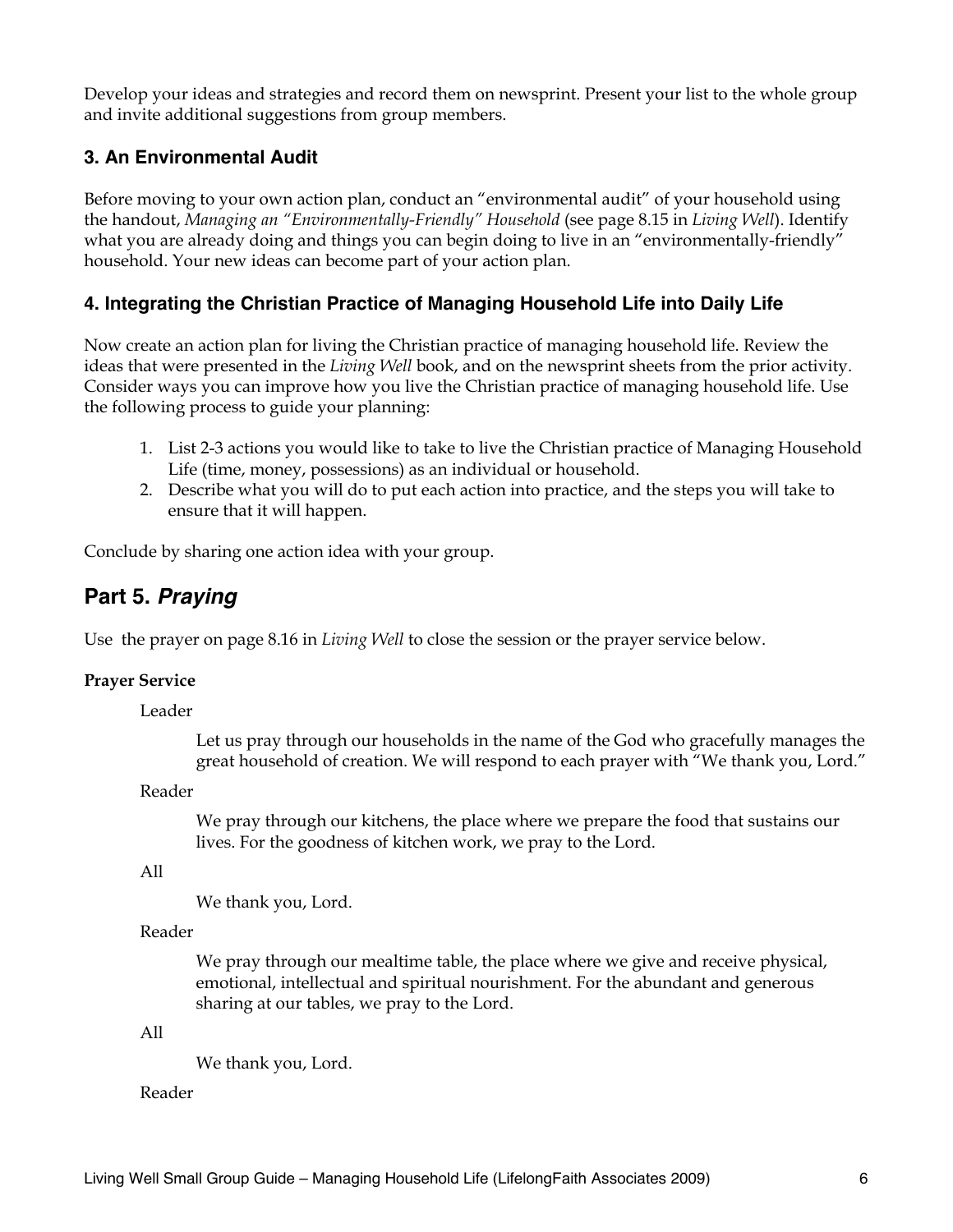Develop your ideas and strategies and record them on newsprint. Present your list to the whole group and invite additional suggestions from group members.

## **3. An Environmental Audit**

Before moving to your own action plan, conduct an "environmental audit" of your household using the handout, *Managing an "Environmentally-Friendly" Household* (see page 8.15 in *Living Well*). Identify what you are already doing and things you can begin doing to live in an "environmentally-friendly" household. Your new ideas can become part of your action plan.

### **4. Integrating the Christian Practice of Managing Household Life into Daily Life**

Now create an action plan for living the Christian practice of managing household life. Review the ideas that were presented in the *Living Well* book, and on the newsprint sheets from the prior activity. Consider ways you can improve how you live the Christian practice of managing household life. Use the following process to guide your planning:

- 1. List 2-3 actions you would like to take to live the Christian practice of Managing Household Life (time, money, possessions) as an individual or household.
- 2. Describe what you will do to put each action into practice, and the steps you will take to ensure that it will happen.

Conclude by sharing one action idea with your group.

## **Part 5.** *Praying*

Use the prayer on page 8.16 in *Living Well* to close the session or the prayer service below.

#### **Prayer Service**

Leader

Let us pray through our households in the name of the God who gracefully manages the great household of creation. We will respond to each prayer with "We thank you, Lord."

Reader

We pray through our kitchens, the place where we prepare the food that sustains our lives. For the goodness of kitchen work, we pray to the Lord.

All

We thank you, Lord.

#### Reader

We pray through our mealtime table, the place where we give and receive physical, emotional, intellectual and spiritual nourishment. For the abundant and generous sharing at our tables, we pray to the Lord.

#### All

We thank you, Lord.

#### Reader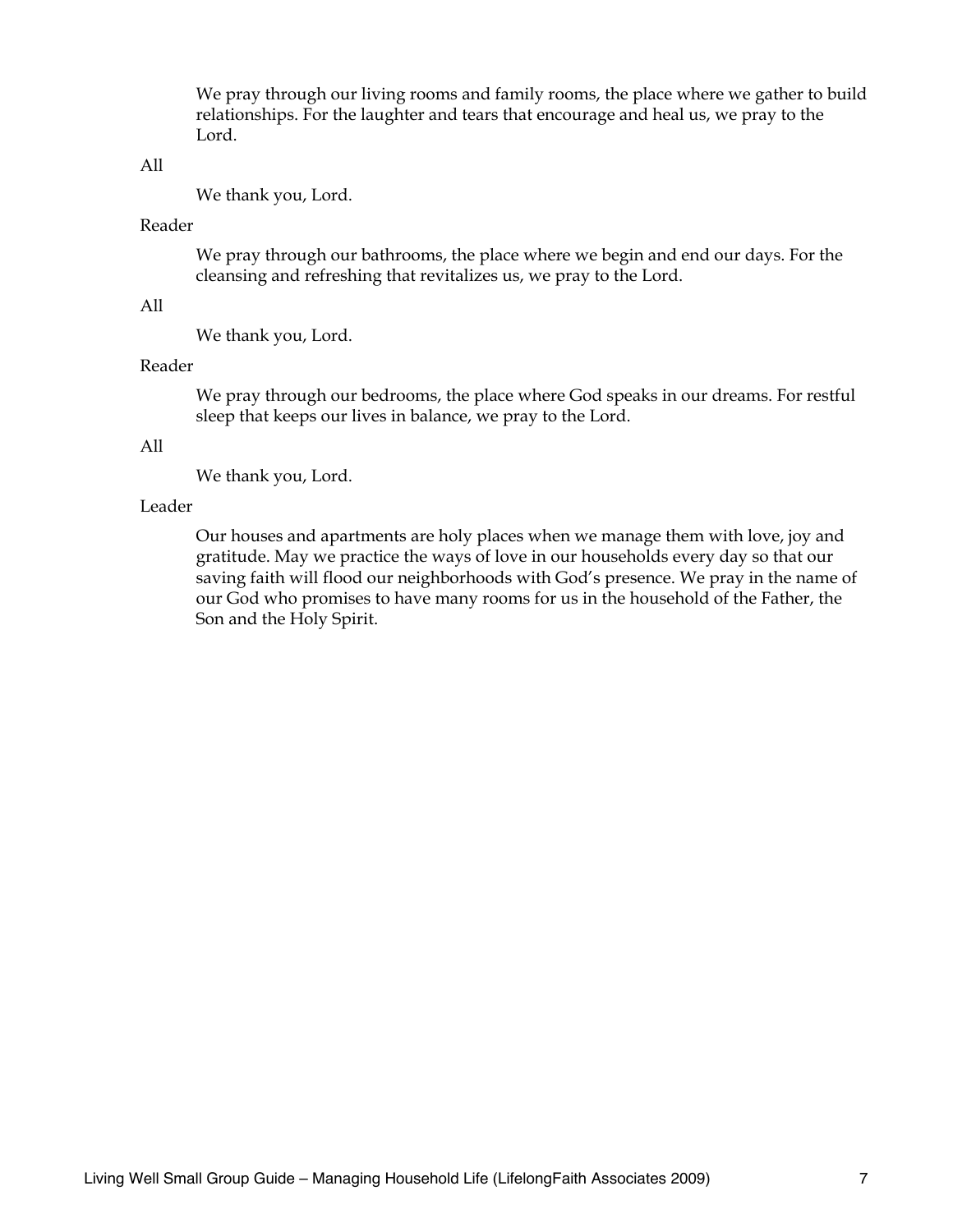We pray through our living rooms and family rooms, the place where we gather to build relationships. For the laughter and tears that encourage and heal us, we pray to the Lord.

#### All

We thank you, Lord.

#### Reader

We pray through our bathrooms, the place where we begin and end our days. For the cleansing and refreshing that revitalizes us, we pray to the Lord.

#### All

We thank you, Lord.

#### Reader

We pray through our bedrooms, the place where God speaks in our dreams. For restful sleep that keeps our lives in balance, we pray to the Lord.

#### All

We thank you, Lord.

#### Leader

Our houses and apartments are holy places when we manage them with love, joy and gratitude. May we practice the ways of love in our households every day so that our saving faith will flood our neighborhoods with God's presence. We pray in the name of our God who promises to have many rooms for us in the household of the Father, the Son and the Holy Spirit.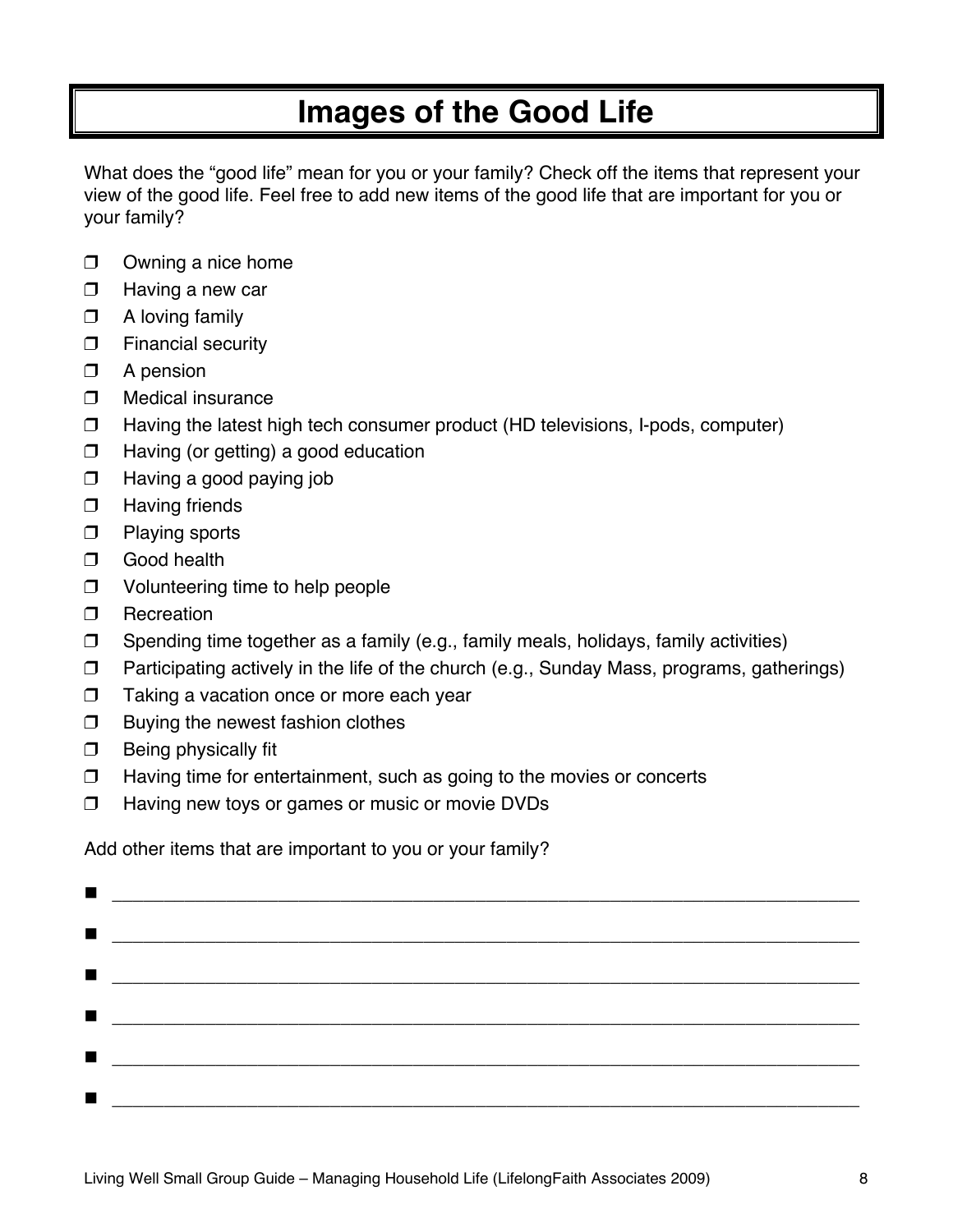# **Images of the Good Life**

What does the "good life" mean for you or your family? Check off the items that represent your view of the good life. Feel free to add new items of the good life that are important for you or your family?

- $\Box$  Owning a nice home
- $\Box$  Having a new car
- $\Box$  A loving family
- $\Box$  Financial security
- $\Box$  A pension
- $\Box$  Medical insurance
- $\Box$  Having the latest high tech consumer product (HD televisions, I-pods, computer)
- $\Box$  Having (or getting) a good education
- $\Box$  Having a good paying job
- **D** Having friends
- $\Box$  Playing sports
- **D** Good health
- □ Volunteering time to help people
- **D** Recreation
- $\Box$  Spending time together as a family (e.g., family meals, holidays, family activities)
- $\Box$  Participating actively in the life of the church (e.g., Sunday Mass, programs, gatherings)
- **T** Taking a vacation once or more each year
- $\Box$  Buying the newest fashion clothes
- $\Box$  Being physically fit
- $\Box$  Having time for entertainment, such as going to the movies or concerts
- $\Box$  Having new toys or games or music or movie DVDs

Add other items that are important to you or your family?

|                |  |                                                                                                                                                                                                                                      | $\blacksquare$ . The contract of the contract of the contract of the contract of the contract of the contract of the contract of the contract of the contract of the contract of the contract of the contract of the contract of the |  |
|----------------|--|--------------------------------------------------------------------------------------------------------------------------------------------------------------------------------------------------------------------------------------|--------------------------------------------------------------------------------------------------------------------------------------------------------------------------------------------------------------------------------------|--|
| $\blacksquare$ |  |                                                                                                                                                                                                                                      |                                                                                                                                                                                                                                      |  |
|                |  | $\blacksquare$ . The contract of the contract of the contract of the contract of the contract of the contract of the contract of the contract of the contract of the contract of the contract of the contract of the contract of the |                                                                                                                                                                                                                                      |  |
| $\blacksquare$ |  |                                                                                                                                                                                                                                      |                                                                                                                                                                                                                                      |  |
|                |  |                                                                                                                                                                                                                                      |                                                                                                                                                                                                                                      |  |
|                |  |                                                                                                                                                                                                                                      |                                                                                                                                                                                                                                      |  |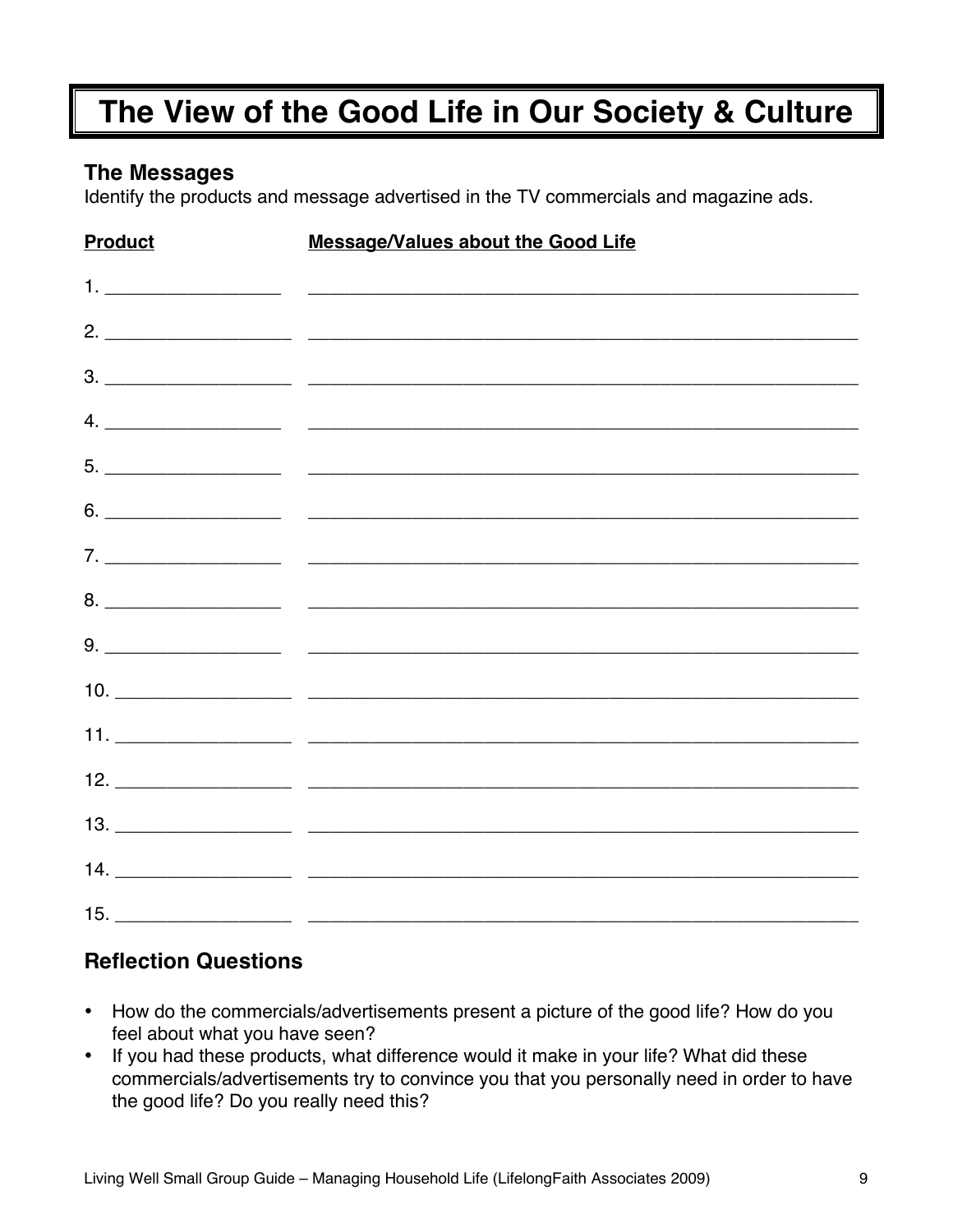# **The View of the Good Life in Our Society & Culture**

## **The Messages**

Identify the products and message advertised in the TV commercials and magazine ads.

| <b>Product</b> | <b>Message/Values about the Good Life</b> |
|----------------|-------------------------------------------|
|                |                                           |
|                |                                           |
|                |                                           |
|                |                                           |
|                |                                           |
|                |                                           |
|                |                                           |
|                |                                           |
|                |                                           |
|                |                                           |
|                |                                           |
|                |                                           |
|                |                                           |
|                |                                           |
|                |                                           |

## **Reflection Questions**

- How do the commercials/advertisements present a picture of the good life? How do you feel about what you have seen?
- If you had these products, what difference would it make in your life? What did these commercials/advertisements try to convince you that you personally need in order to have the good life? Do you really need this?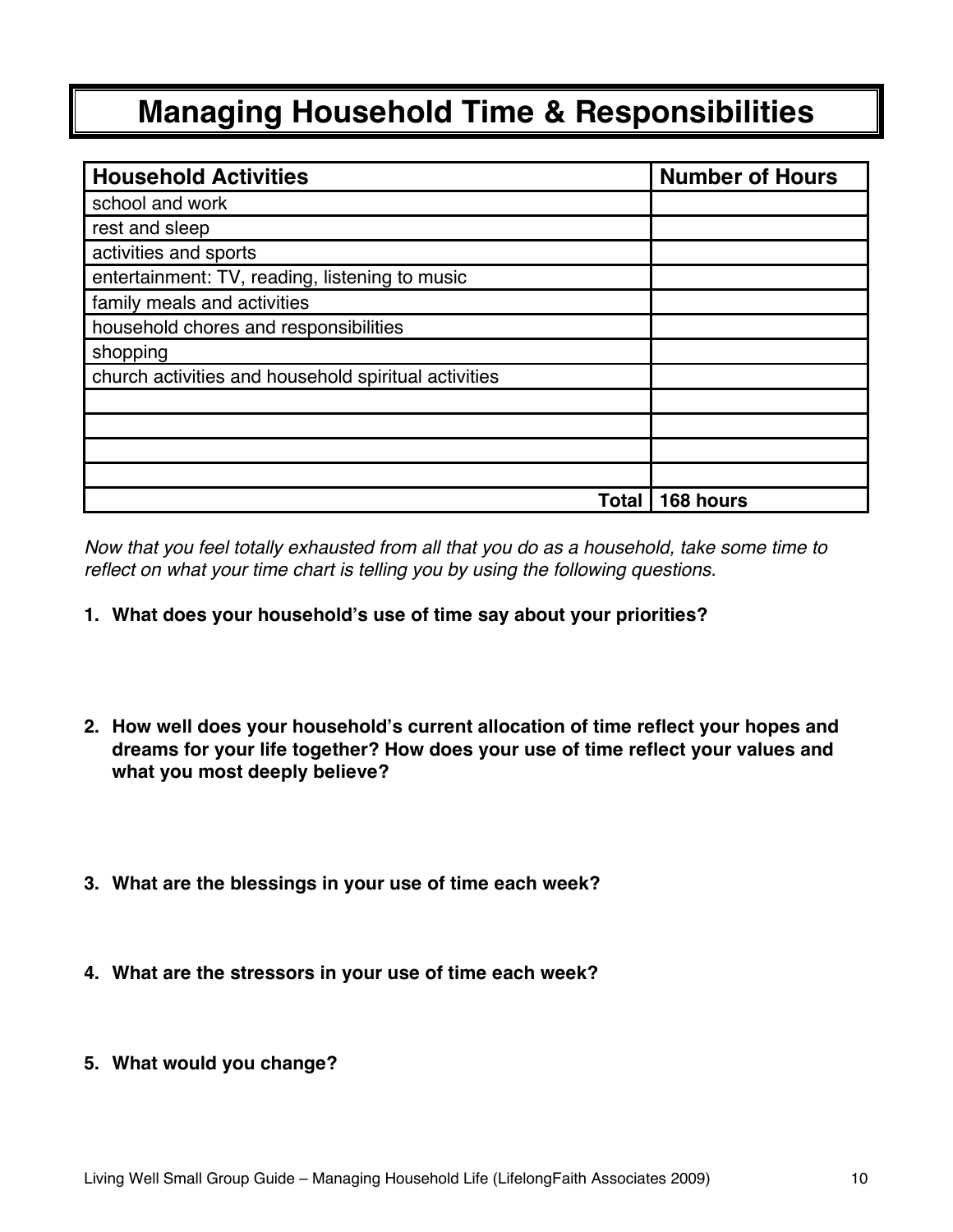# **Managing Household Time & Responsibilities**

| <b>Household Activities</b>                          | <b>Number of Hours</b> |
|------------------------------------------------------|------------------------|
| school and work                                      |                        |
| rest and sleep                                       |                        |
| activities and sports                                |                        |
| entertainment: TV, reading, listening to music       |                        |
| family meals and activities                          |                        |
| household chores and responsibilities                |                        |
| shopping                                             |                        |
| church activities and household spiritual activities |                        |
|                                                      |                        |
|                                                      |                        |
|                                                      |                        |
|                                                      |                        |
| Total                                                | 168 hours              |

*Now that you feel totally exhausted from all that you do as a household, take some time to reflect on what your time chart is telling you by using the following questions.* 

- **1. What does your household's use of time say about your priorities?**
- **2. How well does your household's current allocation of time reflect your hopes and dreams for your life together? How does your use of time reflect your values and what you most deeply believe?**
- **3. What are the blessings in your use of time each week?**
- **4. What are the stressors in your use of time each week?**
- **5. What would you change?**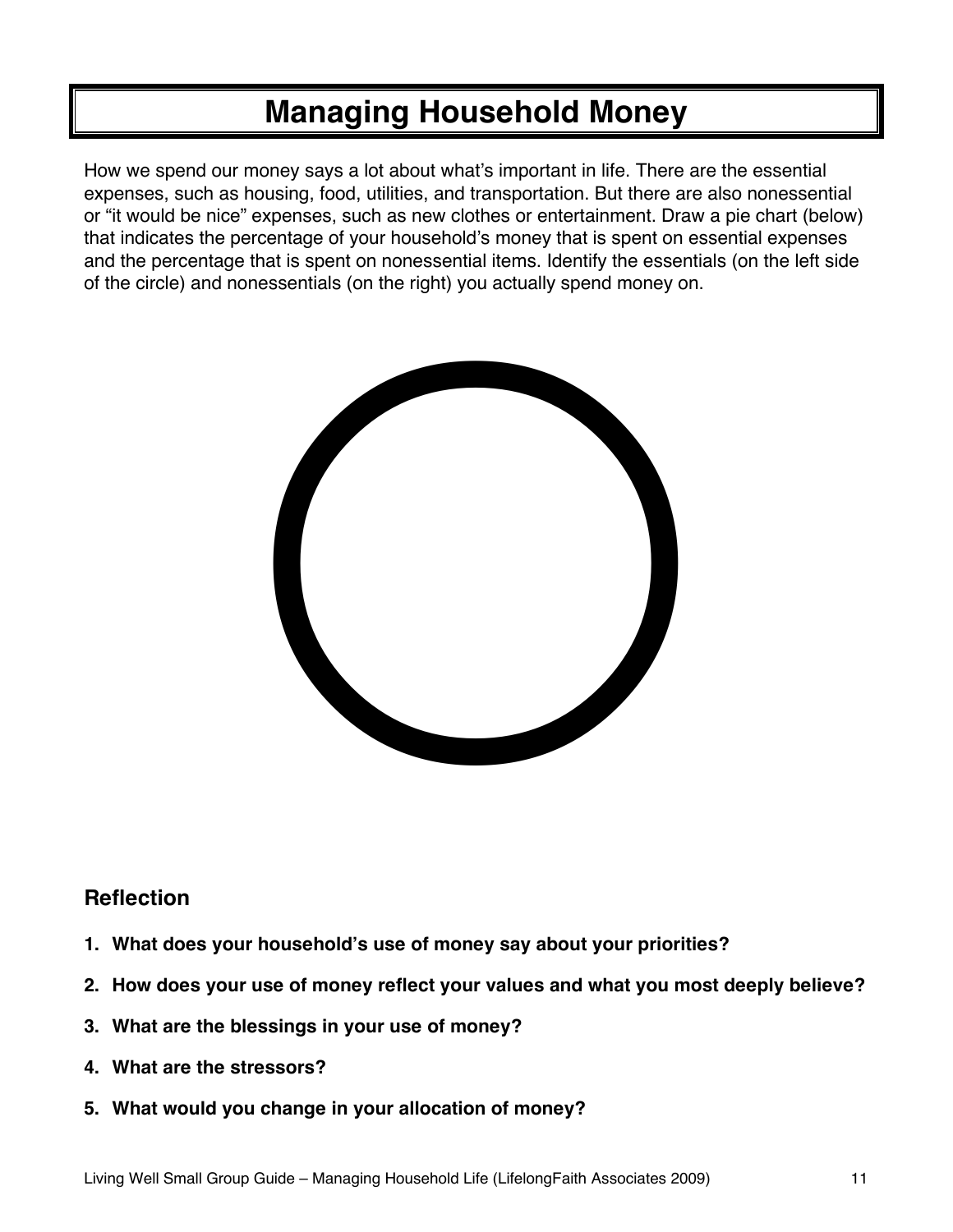# **Managing Household Money**

How we spend our money says a lot about what's important in life. There are the essential expenses, such as housing, food, utilities, and transportation. But there are also nonessential or "it would be nice" expenses, such as new clothes or entertainment. Draw a pie chart (below) that indicates the percentage of your household's money that is spent on essential expenses and the percentage that is spent on nonessential items. Identify the essentials (on the left side of the circle) and nonessentials (on the right) you actually spend money on.



## **Reflection**

- **1. What does your household 's use of money say about your priorities?**
- **2. How does your use of money reflect your values and what you most deeply believe?**
- **3. What are the blessings in your use of money?**
- **4. What are the stressors?**
- **5. What would you change in your allocation of money?**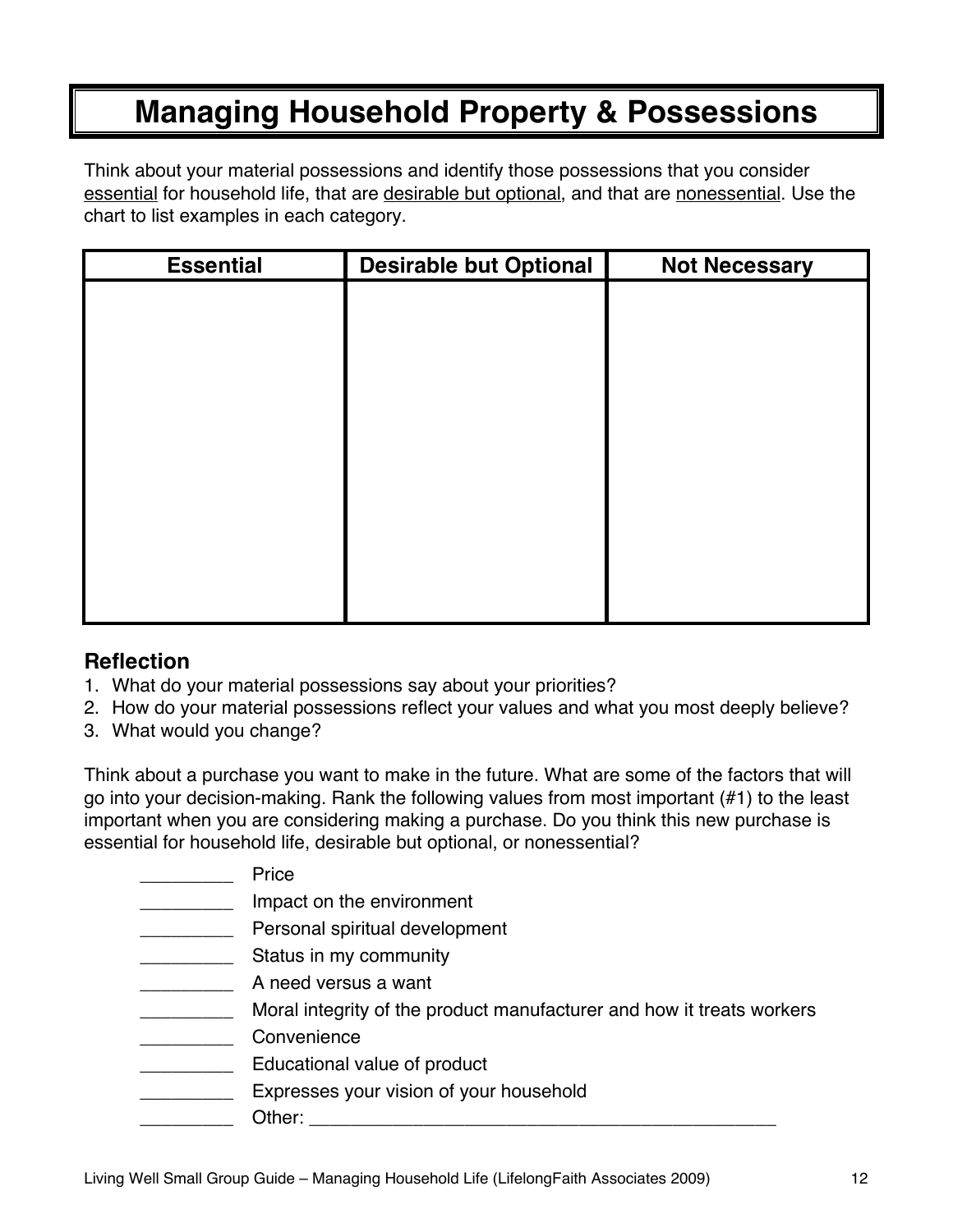# **Managing Household Property & Possessions**

Think about your material possessions and identify those possessions that you consider essential for household life, that are desirable but optional, and that are nonessential. Use the chart to list examples in each category.

| <b>Essential</b> | <b>Desirable but Optional</b> | <b>Not Necessary</b> |
|------------------|-------------------------------|----------------------|
|                  |                               |                      |
|                  |                               |                      |
|                  |                               |                      |
|                  |                               |                      |
|                  |                               |                      |
|                  |                               |                      |
|                  |                               |                      |
|                  |                               |                      |
|                  |                               |                      |
|                  |                               |                      |
|                  |                               |                      |

## **Reflection**

- 1. What do your material possessions say about your priorities?
- 2. How do your material possessions reflect your values and what you most deeply believe?
- 3. What would you change?

Think about a purchase you want to make in the future. What are some of the factors that will go into your decision-making. Rank the following values from most important (#1) to the least important when you are considering making a purchase. Do you think this new purchase is essential for household life, desirable but optional, or nonessential?

| Price                                                                 |
|-----------------------------------------------------------------------|
| Impact on the environment                                             |
| Personal spiritual development                                        |
| Status in my community                                                |
| A need versus a want                                                  |
| Moral integrity of the product manufacturer and how it treats workers |
| Convenience                                                           |
| Educational value of product                                          |
| Expresses your vision of your household                               |
| Other:                                                                |
|                                                                       |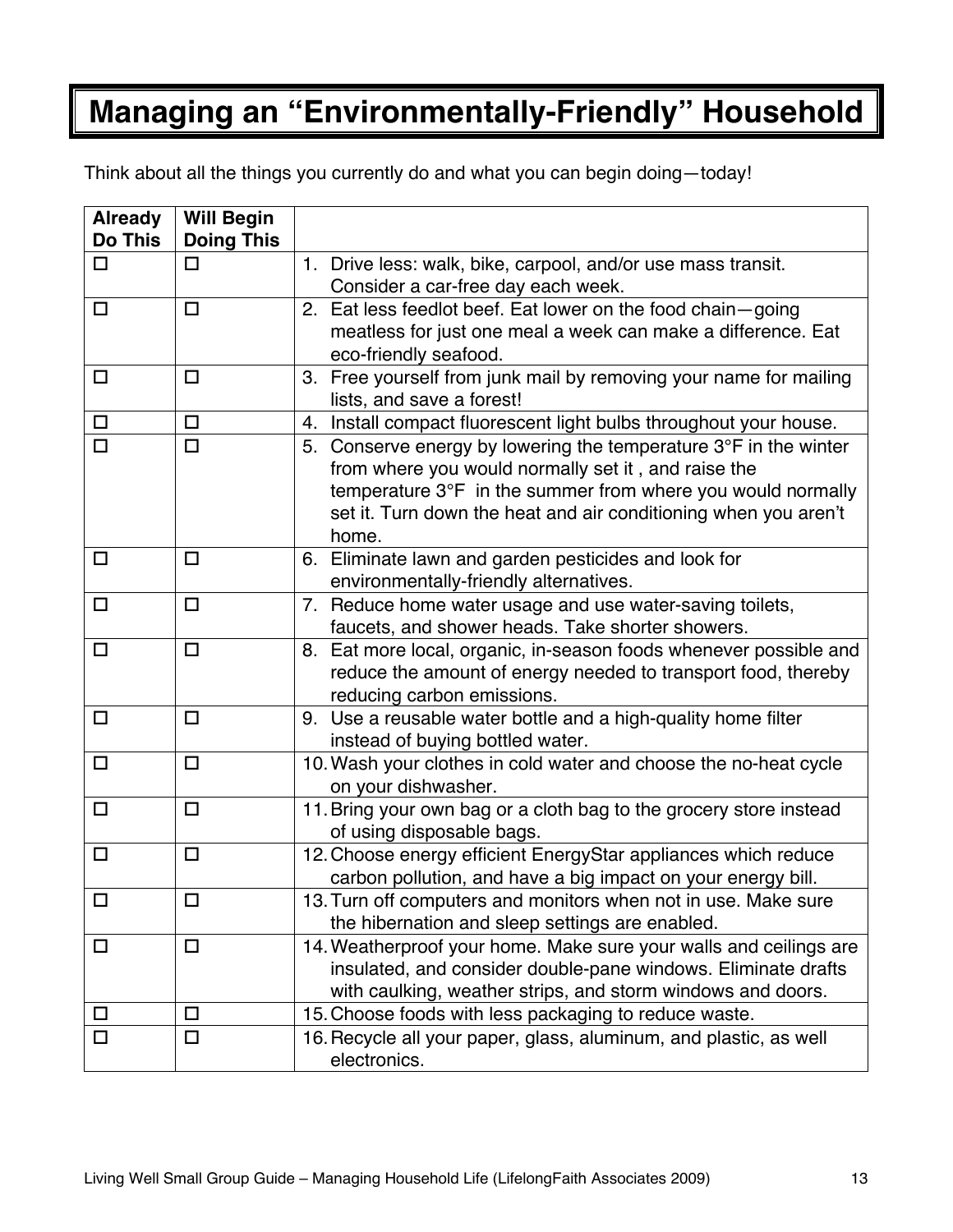# **Managing an "Environmentally-Friendly" Household**

Think about all the things you currently do and what you can begin doing—today!

| <b>Already</b> | <b>Will Begin</b> |                                                                           |
|----------------|-------------------|---------------------------------------------------------------------------|
| <b>Do This</b> | <b>Doing This</b> |                                                                           |
| $\Box$         | □                 | 1. Drive less: walk, bike, carpool, and/or use mass transit.              |
|                |                   | Consider a car-free day each week.                                        |
| □              | $\Box$            | 2. Eat less feedlot beef. Eat lower on the food chain-going               |
|                |                   | meatless for just one meal a week can make a difference. Eat              |
|                |                   | eco-friendly seafood.                                                     |
| $\Box$         | $\Box$            | 3. Free yourself from junk mail by removing your name for mailing         |
|                |                   | lists, and save a forest!                                                 |
| $\Box$         | $\Box$            | Install compact fluorescent light bulbs throughout your house.<br>4.      |
| □              | $\Box$            | 5. Conserve energy by lowering the temperature $3^{\circ}F$ in the winter |
|                |                   | from where you would normally set it, and raise the                       |
|                |                   | temperature $3^{\circ}F$ in the summer from where you would normally      |
|                |                   | set it. Turn down the heat and air conditioning when you aren't           |
|                |                   | home.                                                                     |
| $\Box$         | $\Box$            | 6. Eliminate lawn and garden pesticides and look for                      |
|                |                   | environmentally-friendly alternatives.                                    |
| $\Box$         | $\Box$            | 7. Reduce home water usage and use water-saving toilets,                  |
|                |                   | faucets, and shower heads. Take shorter showers.                          |
| $\Box$         | $\Box$            | 8. Eat more local, organic, in-season foods whenever possible and         |
|                |                   | reduce the amount of energy needed to transport food, thereby             |
|                |                   | reducing carbon emissions.                                                |
| $\Box$         | $\Box$            | 9. Use a reusable water bottle and a high-quality home filter             |
|                |                   | instead of buying bottled water.                                          |
| $\Box$         | $\Box$            | 10. Wash your clothes in cold water and choose the no-heat cycle          |
|                |                   | on your dishwasher.                                                       |
| $\Box$         | $\Box$            | 11. Bring your own bag or a cloth bag to the grocery store instead        |
|                |                   | of using disposable bags.                                                 |
| $\Box$         | $\Box$            | 12. Choose energy efficient EnergyStar appliances which reduce            |
|                |                   | carbon pollution, and have a big impact on your energy bill.              |
| $\Box$         | $\Box$            | 13. Turn off computers and monitors when not in use. Make sure            |
|                |                   | the hibernation and sleep settings are enabled.                           |
| $\Box$         | $\Box$            | 14. Weatherproof your home. Make sure your walls and ceilings are         |
|                |                   | insulated, and consider double-pane windows. Eliminate drafts             |
|                |                   | with caulking, weather strips, and storm windows and doors.               |
| $\Box$         | □                 | 15. Choose foods with less packaging to reduce waste.                     |
| $\Box$         | □                 | 16. Recycle all your paper, glass, aluminum, and plastic, as well         |
|                |                   | electronics.                                                              |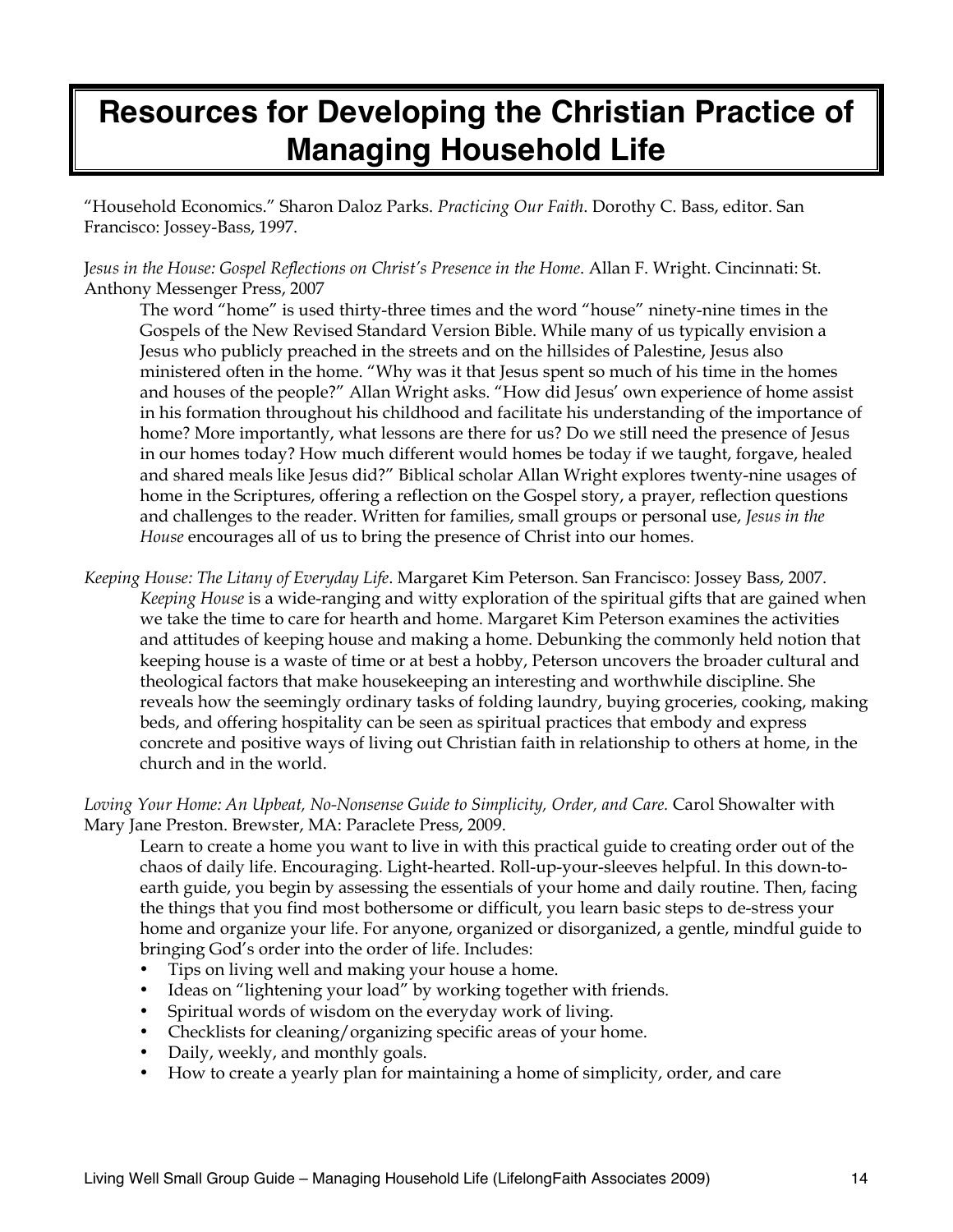# **Resources for Developing the Christian Practice of Managing Household Life**

"Household Economics." Sharon Daloz Parks. *Practicing Our Faith*. Dorothy C. Bass, editor. San Francisco: Jossey-Bass, 1997.

J*esus in the House: Gospel Reflections on Christ's Presence in the Home*. Allan F. Wright. Cincinnati: St. Anthony Messenger Press, 2007

The word "home" is used thirty-three times and the word "house" ninety-nine times in the Gospels of the New Revised Standard Version Bible. While many of us typically envision a Jesus who publicly preached in the streets and on the hillsides of Palestine, Jesus also ministered often in the home. "Why was it that Jesus spent so much of his time in the homes and houses of the people?" Allan Wright asks. "How did Jesus' own experience of home assist in his formation throughout his childhood and facilitate his understanding of the importance of home? More importantly, what lessons are there for us? Do we still need the presence of Jesus in our homes today? How much different would homes be today if we taught, forgave, healed and shared meals like Jesus did?" Biblical scholar Allan Wright explores twenty-nine usages of home in the Scriptures, offering a reflection on the Gospel story, a prayer, reflection questions and challenges to the reader. Written for families, small groups or personal use, *Jesus in the House* encourages all of us to bring the presence of Christ into our homes.

*Keeping House: The Litany of Everyday Life*. Margaret Kim Peterson. San Francisco: Jossey Bass, 2007. *Keeping House* is a wide-ranging and witty exploration of the spiritual gifts that are gained when we take the time to care for hearth and home. Margaret Kim Peterson examines the activities and attitudes of keeping house and making a home. Debunking the commonly held notion that keeping house is a waste of time or at best a hobby, Peterson uncovers the broader cultural and theological factors that make housekeeping an interesting and worthwhile discipline. She reveals how the seemingly ordinary tasks of folding laundry, buying groceries, cooking, making beds, and offering hospitality can be seen as spiritual practices that embody and express concrete and positive ways of living out Christian faith in relationship to others at home, in the church and in the world.

*Loving Your Home: An Upbeat, No-Nonsense Guide to Simplicity, Order, and Care.* Carol Showalter with Mary Jane Preston. Brewster, MA: Paraclete Press, 2009.

Learn to create a home you want to live in with this practical guide to creating order out of the chaos of daily life. Encouraging. Light-hearted. Roll-up-your-sleeves helpful. In this down-toearth guide, you begin by assessing the essentials of your home and daily routine. Then, facing the things that you find most bothersome or difficult, you learn basic steps to de-stress your home and organize your life. For anyone, organized or disorganized, a gentle, mindful guide to bringing God's order into the order of life. Includes:

- Tips on living well and making your house a home.
- Ideas on "lightening your load" by working together with friends.
- Spiritual words of wisdom on the everyday work of living.
- Checklists for cleaning/organizing specific areas of your home.
- Daily, weekly, and monthly goals.
- How to create a yearly plan for maintaining a home of simplicity, order, and care